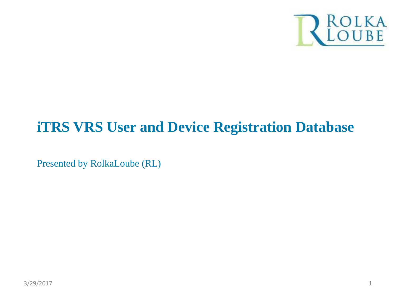

### **iTRS VRS User and Device Registration Database**

Presented by RolkaLoube (RL)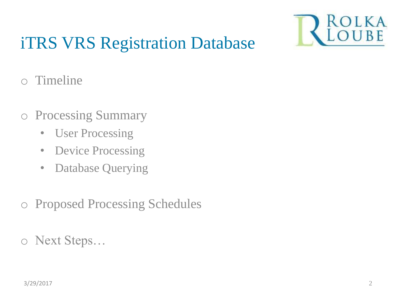

# iTRS VRS Registration Database

- o Timeline
- o Processing Summary
	- User Processing
	- Device Processing
	- Database Querying
- o Proposed Processing Schedules
- o Next Steps…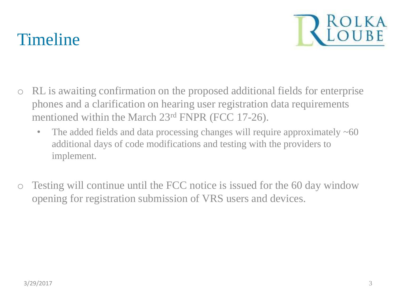# Timeline



- o RL is awaiting confirmation on the proposed additional fields for enterprise phones and a clarification on hearing user registration data requirements mentioned within the March 23rd FNPR (FCC 17-26).
	- The added fields and data processing changes will require approximately  $\sim 60$ additional days of code modifications and testing with the providers to implement.
- o Testing will continue until the FCC notice is issued for the 60 day window opening for registration submission of VRS users and devices.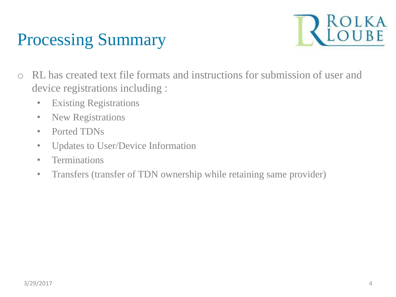# Processing Summary



- o RL has created text file formats and instructions for submission of user and device registrations including :
	- Existing Registrations
	- New Registrations
	- Ported TDNs
	- Updates to User/Device Information
	- Terminations
	- Transfers (transfer of TDN ownership while retaining same provider)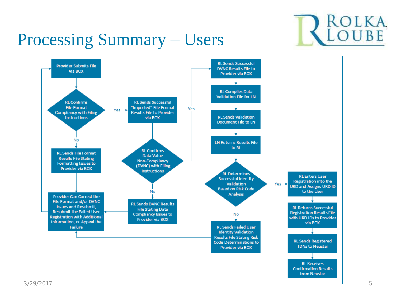

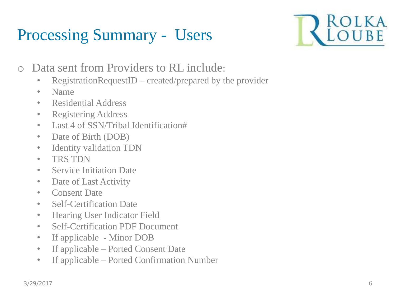

- o Data sent from Providers to RL include:
	- RegistrationRequestID created/prepared by the provider
	- Name
	- Residential Address
	- Registering Address
	- Last 4 of SSN/Tribal Identification#
	- Date of Birth (DOB)
	- Identity validation TDN
	- TRS TDN
	- Service Initiation Date
	- Date of Last Activity
	- Consent Date
	- Self-Certification Date
	- Hearing User Indicator Field
	- Self-Certification PDF Document
	- If applicable Minor DOB
	- If applicable Ported Consent Date
	- If applicable Ported Confirmation Number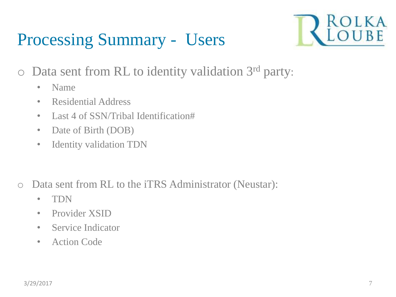

- o Data sent from RL to identity validation 3rd party:
	- Name
	- Residential Address
	- Last 4 of SSN/Tribal Identification#
	- Date of Birth (DOB)
	- Identity validation TDN
- o Data sent from RL to the iTRS Administrator (Neustar):
	- TDN
	- Provider XSID
	- Service Indicator
	- Action Code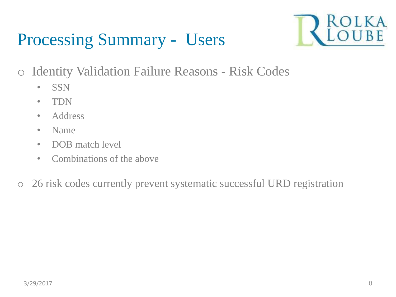

- o Identity Validation Failure Reasons Risk Codes
	- SSN
	- TDN
	- Address
	- Name
	- DOB match level
	- Combinations of the above
- o 26 risk codes currently prevent systematic successful URD registration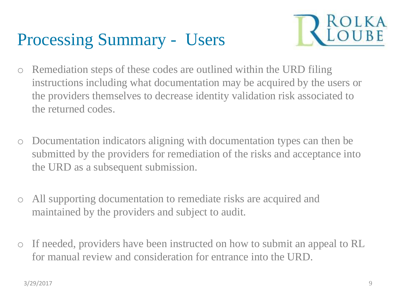

- o Remediation steps of these codes are outlined within the URD filing instructions including what documentation may be acquired by the users or the providers themselves to decrease identity validation risk associated to the returned codes.
- o Documentation indicators aligning with documentation types can then be submitted by the providers for remediation of the risks and acceptance into the URD as a subsequent submission.
- o All supporting documentation to remediate risks are acquired and maintained by the providers and subject to audit.
- o If needed, providers have been instructed on how to submit an appeal to RL for manual review and consideration for entrance into the URD.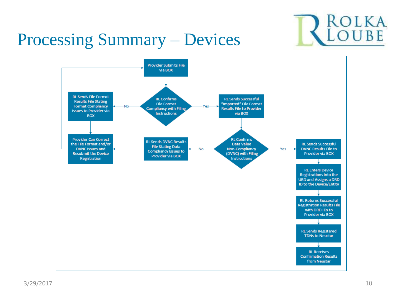

### Processing Summary – Devices

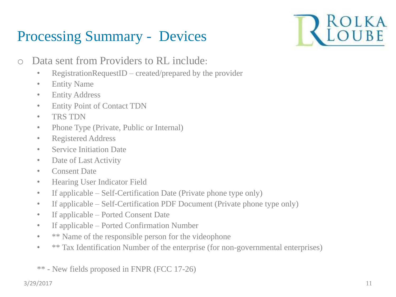### Processing Summary - Devices



- o Data sent from Providers to RL include:
	- RegistrationRequestID created/prepared by the provider
	- Entity Name
	- Entity Address
	- Entity Point of Contact TDN
	- TRS TDN
	- Phone Type (Private, Public or Internal)
	- Registered Address
	- Service Initiation Date
	- Date of Last Activity
	- Consent Date
	- Hearing User Indicator Field
	- If applicable Self-Certification Date (Private phone type only)
	- If applicable Self-Certification PDF Document (Private phone type only)
	- If applicable Ported Consent Date
	- If applicable Ported Confirmation Number
	- \*\* Name of the responsible person for the videophone
	- \*\* Tax Identification Number of the enterprise (for non-governmental enterprises)
	- \*\* New fields proposed in FNPR (FCC 17-26)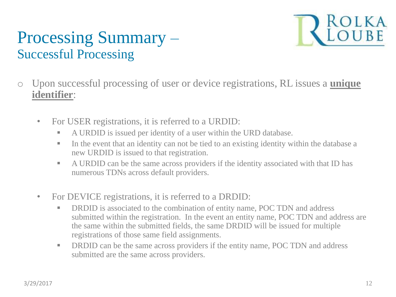### Processing Summary – Successful Processing



- o Upon successful processing of user or device registrations, RL issues a **unique identifier**:
	- For USER registrations, it is referred to a URDID:
		- A URDID is issued per identity of a user within the URD database.
		- In the event that an identity can not be tied to an existing identity within the database a new URDID is issued to that registration.
		- A URDID can be the same across providers if the identity associated with that ID has numerous TDNs across default providers.
	- For DEVICE registrations, it is referred to a DRDID:
		- **DRDID** is associated to the combination of entity name, POC TDN and address submitted within the registration. In the event an entity name, POC TDN and address are the same within the submitted fields, the same DRDID will be issued for multiple registrations of those same field assignments.
		- **DRDID** can be the same across providers if the entity name, POC TDN and address submitted are the same across providers.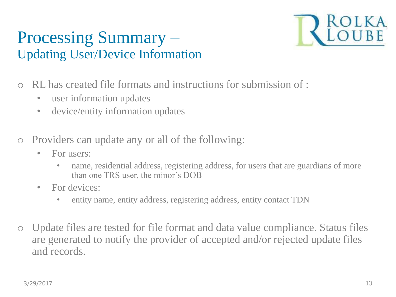### Processing Summary – Updating User/Device Information



- o RL has created file formats and instructions for submission of :
	- user information updates
	- device/entity information updates
- o Providers can update any or all of the following:
	- For users:
		- name, residential address, registering address, for users that are guardians of more than one TRS user, the minor's DOB
	- For devices:
		- entity name, entity address, registering address, entity contact TDN
- o Update files are tested for file format and data value compliance. Status files are generated to notify the provider of accepted and/or rejected update files and records.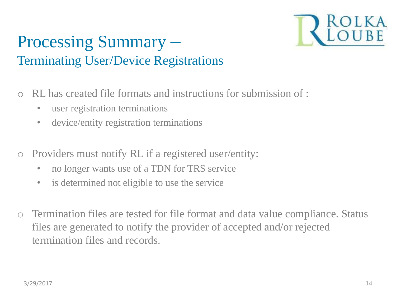

### Processing Summary – Terminating User/Device Registrations

- o RL has created file formats and instructions for submission of :
	- user registration terminations
	- device/entity registration terminations
- o Providers must notify RL if a registered user/entity:
	- no longer wants use of a TDN for TRS service
	- is determined not eligible to use the service
- o Termination files are tested for file format and data value compliance. Status files are generated to notify the provider of accepted and/or rejected termination files and records.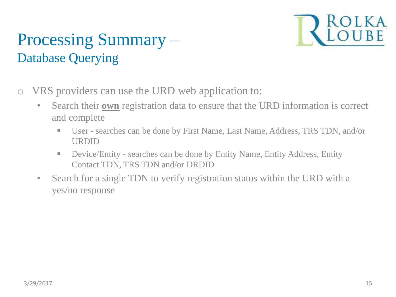

### Processing Summary – Database Querying

- o VRS providers can use the URD web application to:
	- Search their **own** registration data to ensure that the URD information is correct and complete
		- User searches can be done by First Name, Last Name, Address, TRS TDN, and/or URDID
		- Device/Entity searches can be done by Entity Name, Entity Address, Entity Contact TDN, TRS TDN and/or DRDID
	- Search for a single TDN to verify registration status within the URD with a yes/no response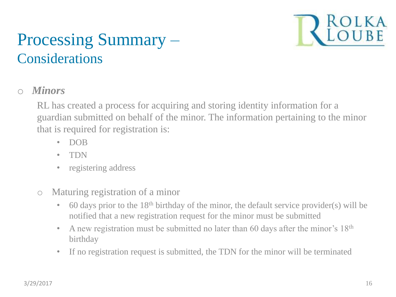

### Processing Summary – **Considerations**

#### o *Minors*

RL has created a process for acquiring and storing identity information for a guardian submitted on behalf of the minor. The information pertaining to the minor that is required for registration is:

- DOB
- TDN
- registering address
- o Maturing registration of a minor
	- $\bullet$  60 days prior to the 18<sup>th</sup> birthday of the minor, the default service provider(s) will be notified that a new registration request for the minor must be submitted
	- A new registration must be submitted no later than 60 days after the minor's 18<sup>th</sup> birthday
	- If no registration request is submitted, the TDN for the minor will be terminated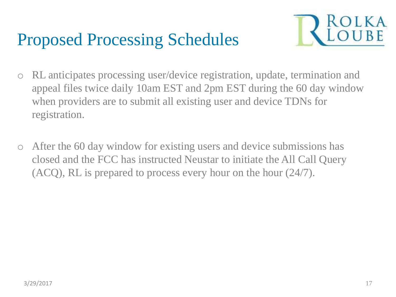### Proposed Processing Schedules



- o RL anticipates processing user/device registration, update, termination and appeal files twice daily 10am EST and 2pm EST during the 60 day window when providers are to submit all existing user and device TDNs for registration.
- o After the 60 day window for existing users and device submissions has closed and the FCC has instructed Neustar to initiate the All Call Query (ACQ), RL is prepared to process every hour on the hour (24/7).